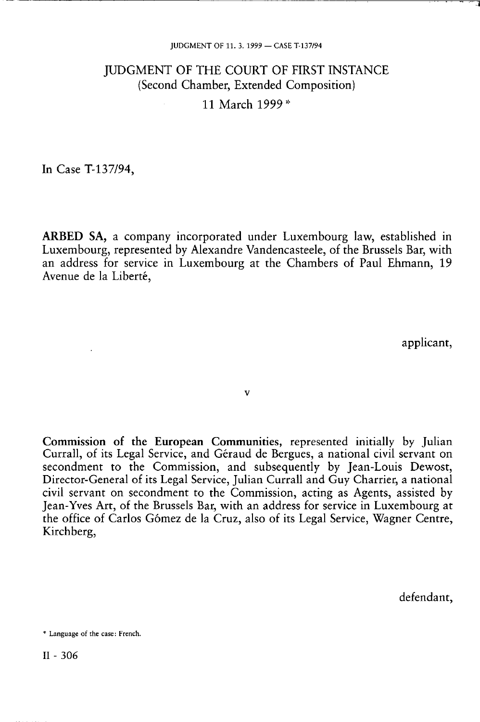# JUDGMENT OF THE COURT OF FIRST INSTANCE (Second Chamber, Extended Composition) 11 March 1999\*

In Case T-137/94,

**ARBED SA,** a company incorporated under Luxembourg law, established in Luxembourg, represented by Alexandre Vandencasteele, of the Brussels Bar, with an address for service in Luxembourg at the Chambers of Paul Ehmann, 19 Avenue de la Liberté,

applicant,

ν

Commission of the European Communities, represented initially by Julian Currall, of its Legal Service, and Géraud de Bergues, a national civil servant on secondment to the Commission, and subsequently by Jean-Louis Dewost, Director-General of its Legal Service, Julian Currall and Guy Charrier, a national civil servant on secondment to the Commission, acting as Agents, assisted by Jean-Yves Art, of the Brussels Bar, with an address for service in Luxembourg at the office of Carlos Gómez de la Cruz, also of its Legal Service, Wagner Centre, Kirchberg,

defendant,

\* Language of the case: French.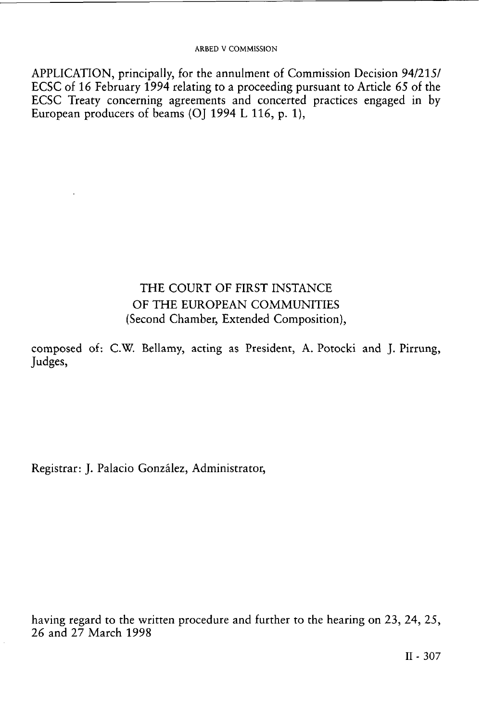APPLICATION, principally, for the annulment of Commission Decision 94/215/ ECSC of 16 February 1994 relating to a proceeding pursuant to Article *65* of the ECSC Treaty concerning agreements and concerted practices engaged in by European producers of beams (OJ 1994 L 116, p. 1),

## THE COURT OF FIRST INSTANCE OF THE EUROPEAN COMMUNITIES (Second Chamber, Extended Composition),

composed of: C.W. Bellamy, acting as President, A. Potocki and J. Pirrung, Judges,

Registrar: J. Palacio González, Administrator,

having regard to the written procedure and further to the hearing on 23, 24, 25, 26 and 27 March 1998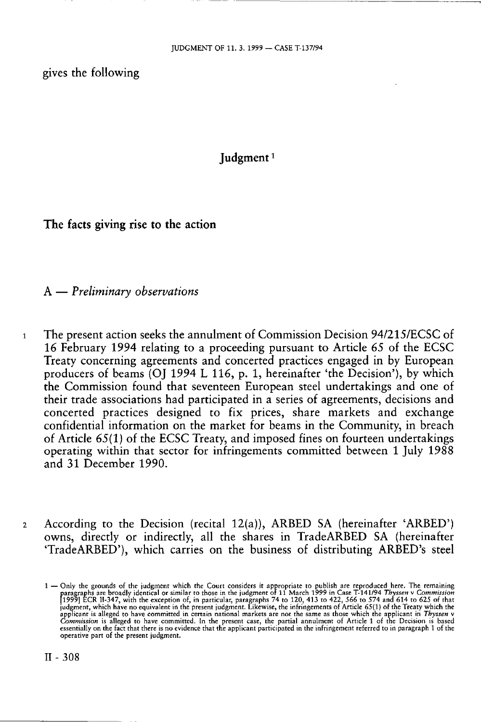gives the following

**Judgment**  *1* 

**The facts giving rise to the action** 

A — *Preliminary observations* 

- 1 The present action seeks the annulment of Commission Decision 94/215/ECSC of 16 February 1994 relating to a proceeding pursuant to Article 65 of the ECSC Treaty concerning agreements and concerted practices engaged in by European producers of beams (OJ 1994 L 116, p. 1, hereinafter 'the Decision'), by which the Commission found that seventeen European steel undertakings and one of their trade associations had participated in a series of agreements, decisions and concerted practices designed to fix prices, share markets and exchange confidential information on the market for beams in the Community, in breach of Article 65(1) of the ECSC Treaty, and imposed fines on fourteen undertakings operating within that sector for infringements committed between 1 July 1988 and 31 December 1990.
- 2 According to the Decision (recital  $12(a)$ ), ARBED SA (hereinafter 'ARBED') owns, directly or indirectly, all the shares in TradeARBED SA (hereinafter 'TradeARBED'), which carries on the business of distributing ARBED's steel

<sup>1 —</sup> Only the grounds of the judgment which the Court considers it appropriate to publish are reproduced here. The remaining paragraphs are broadly identical or similar to those in the judgment of 11 March 1999 in Case T-1 Commission is alleged to have committed. In the present case, the partial annulment of Article 1 of the Decision is based<br>essentially on the fact that there is no evidence that the applicant participated in the infringemen operative part of the present judgment.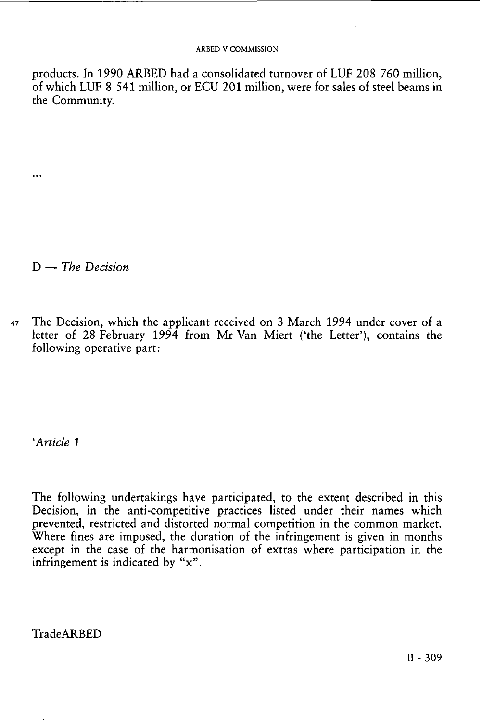products. In 1990 ARBED had a consolidated turnover of LUF 208 760 million, of which LUF 8 541 million, or ECU 201 million, were for sales of steel beams in the Community.

D — *The Decision* 

...

47 The Decision, which the applicant received on 3 March 1994 under cover of a letter of 28 February 1994 from Mr Van Miert ('the Letter'), contains the following operative part:

*'Article 1* 

The following undertakings have participated, to the extent described in this Decision, in the anti-competitive practices listed under their names which prevented, restricted and distorted normal competition in the common market. Where fines are imposed, the duration of the infringement is given in months except in the case of the harmonisation of extras where participation in the infringement is indicated by "x".

TradeARBED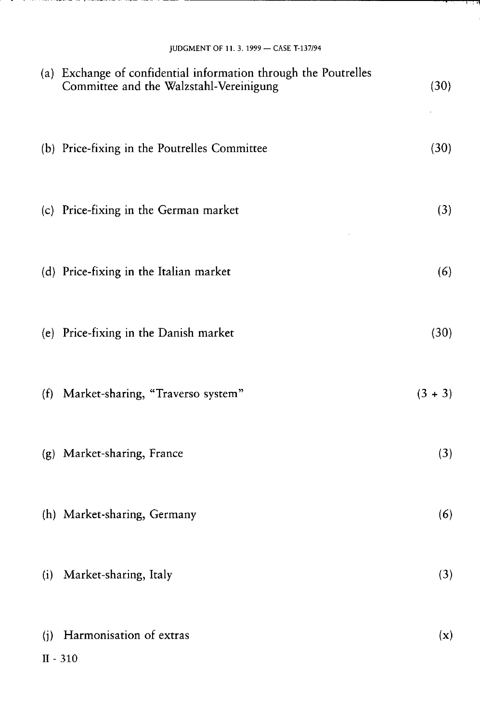|  |  | والأوال والمسترقب المؤلف المستنبر |
|--|--|-----------------------------------|
|  |  |                                   |

| JUDGMENT OF 11. 3. 1999 - CASE T-137/94<br>(a) Exchange of confidential information through the Poutrelles<br>Committee and the Walzstahl-Vereinigung | (30)           |
|-------------------------------------------------------------------------------------------------------------------------------------------------------|----------------|
| (b) Price-fixing in the Poutrelles Committee                                                                                                          | (30)           |
| (c) Price-fixing in the German market                                                                                                                 | (3)            |
| (d) Price-fixing in the Italian market                                                                                                                | (6)            |
| (e) Price-fixing in the Danish market                                                                                                                 | (30)           |
| (f) Market-sharing, "Traverso system"                                                                                                                 | $(3 + 3)$      |
| (g) Market-sharing, France                                                                                                                            | (3)            |
| (h) Market-sharing, Germany                                                                                                                           | (6)            |
| Market-sharing, Italy<br>(i)                                                                                                                          | (3)            |
| Harmonisation of extras<br>(i)                                                                                                                        | $(\mathbf{x})$ |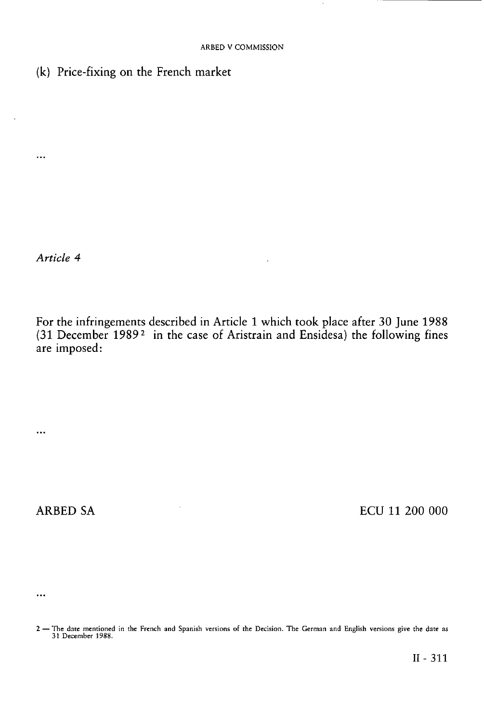(k) Price-fixing on the French market

*Article 4* 

...

For the infringements described in Article 1 which took place after 30 June 1988 (31 December 1989 <sup>2</sup> in the case of Aristrain and Ensidesa) the following fines are imposed:

ARBED SA BOOT ECU 11 200 000

 $\ddots$ 

 $\ddotsc$ 

II- 311

<sup>2 —</sup> The date mentioned in the French and Spanish versions of the Decision. The German and English versions give the date as 31 December 1988.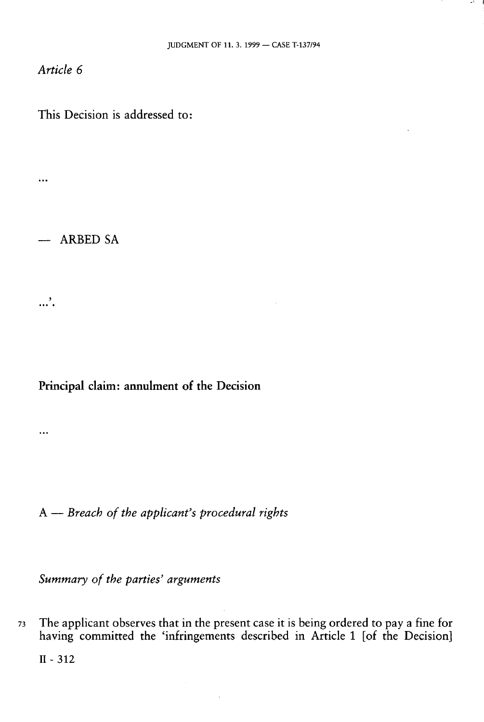*Article 6* 

This Decision is addressed to:

 $\cdots$ 

— ARBED SA

بر<br>....

 $\ddotsc$ 

### **Principal claim: annulment of the Decision**

A — *Breach of the applicant's procedural rights* 

*Summary of the parties' arguments* 

73 The applicant observes that in the present case it is being ordered to pay a fine for having committed the 'infringements described in Article 1 [of the Decision]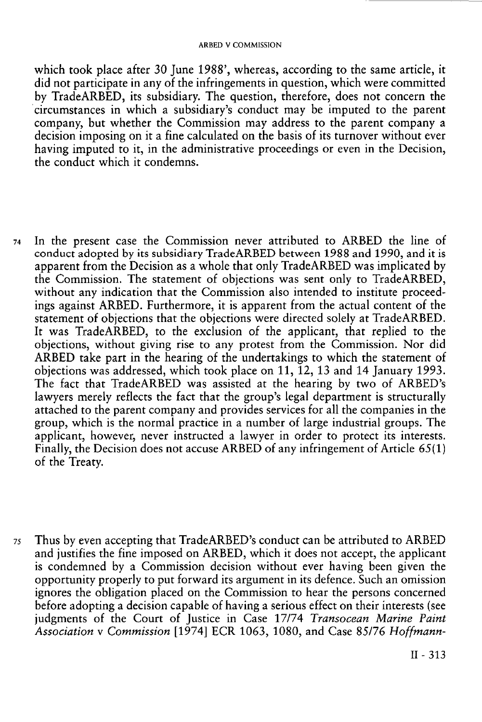which took place after 30 June 1988', whereas, according to the same article, it did not participate in any of the infringements in question, which were committed by TradeARBED, its subsidiary. The question, therefore, does not concern the circumstances in which a subsidiary's conduct may be imputed to the parent company, but whether the Commission may address to the parent company a decision imposing on it a fine calculated on the basis of its turnover without ever having imputed to it, in the administrative proceedings or even in the Decision, the conduct which it condemns.

- 74 In the present case the Commission never attributed to ARBED the line of conduct adopted by its subsidiary TradeARBED between 1988 and 1990, and it is apparent from the Decision as a whole that only TradeARBED was implicated by the Commission. The statement of objections was sent only to TradeARBED, without any indication that the Commission also intended to institute proceedings against ARBED. Furthermore, it is apparent from the actual content of the statement of objections that the objections were directed solely at TradeARBED. It was TradeARBED, to the exclusion of the applicant, that replied to the objections, without giving rise to any protest from the Commission. Nor did ARBED take part in the hearing of the undertakings to which the statement of objections was addressed, which took place on 11, 12, 13 and 14 January 1993. The fact that TradeARBED was assisted at the hearing by two of ARBED's lawyers merely reflects the fact that the group's legal department is structurally attached to the parent company and provides services for all the companies in the group, which is the normal practice in a number of large industrial groups. The applicant, however, never instructed a lawyer in order to protect its interests. Finally, the Decision does not accuse ARBED of any infringement of Article 65(1) of the Treaty.
- 75 Thus by even accepting that TradeARBED's conduct can be attributed to ARBED and justifies the fine imposed on ARBED, which it does not accept, the applicant is condemned by a Commission decision without ever having been given the opportunity properly to put forward its argument in its defence. Such an omission ignores the obligation placed on the Commission to hear the persons concerned before adopting a decision capable of having a serious effect on their interests (see judgments of the Court of Justice in Case 17/74 *Transocean Marine Paint Association* v *Commission* [1974] ECR 1063, 1080, and Case 85/76 *Hoffmann-*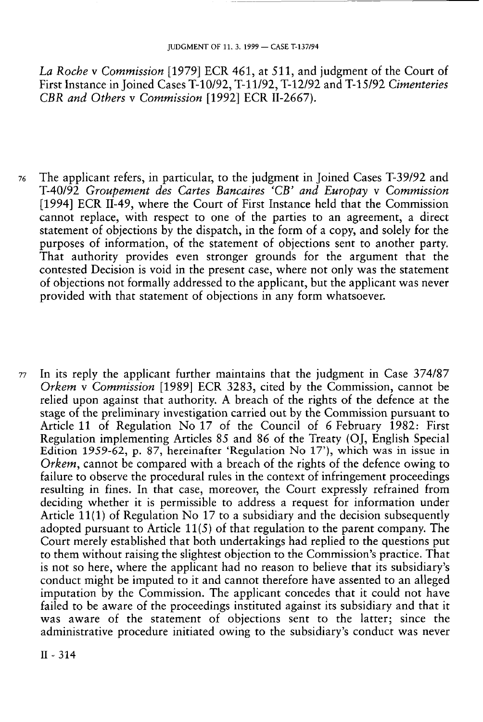*La Roche* ν *Commission* [1979] ECR 461, at 511, and judgment of the Court of First Instance in Joined Cases T-10/92, T-11/92, T-12/92 and T-15/92 *Cimenteries CBR and Others* ν *Commission* [1992] ECR 11-2667).

- 76 The applicant refers, in particular, to the judgment in Joined Cases T-39/92 and T-40/92 *Groupement des Cartes Bancaires<sup>C</sup>CB' and Europay* ν *Commission*  [1994] ECR 11-49, where the Court of First Instance held that the Commission cannot replace, with respect to one of the parties to an agreement, a direct statement of objections by the dispatch, in the form of a copy, and solely for the purposes of information, of the statement of objections sent to another party. That authority provides even stronger grounds for the argument that the contested Decision is void in the present case, where not only was the statement of objections not formally addressed to the applicant, but the applicant was never provided with that statement of objections in any form whatsoever.
- 77 In its reply the applicant further maintains that the judgment in Case 374/87 *Orkem* ν *Commission* [1989] ECR 3283, cited by the Commission, cannot be relied upon against that authority. A breach of the rights of the defence at the stage of the preliminary investigation carried out by the Commission pursuant to Article 11 of Regulation No 17 of the Council of 6 February 1982: First Regulation implementing Articles 85 and 86 of the Treaty (OJ, English Special Edition 1959-62, p. 87, hereinafter 'Regulation No 17'), which was in issue in *Orkem,* cannot be compared with a breach of the rights of the defence owing to failure to observe the procedural rules in the context of infringement proceedings resulting in fines. In that case, moreover, the Court expressly refrained from deciding whether it is permissible to address a request for information under Article 11(1) of Regulation No 17 to a subsidiary and the decision subsequently adopted pursuant to Article 11(5) of that regulation to the parent company. The Court merely established that both undertakings had replied to the questions put to them without raising the slightest objection to the Commission's practice. That is not so here, where the applicant had no reason to believe that its subsidiary's conduct might be imputed to it and cannot therefore have assented to an alleged imputation by the Commission. The applicant concedes that it could not have failed to be aware of the proceedings instituted against its subsidiary and that it was aware of the statement of objections sent to the latter; since the administrative procedure initiated owing to the subsidiary's conduct was never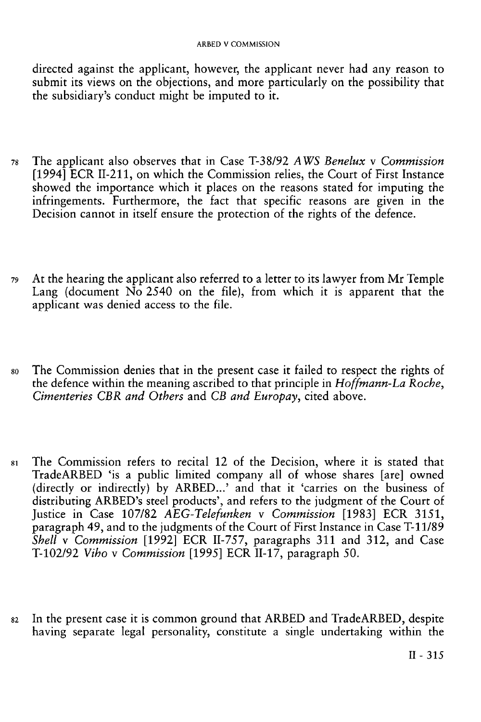directed against the applicant, however, the applicant never had any reason to submit its views on the objections, and more particularly on the possibility that the subsidiary's conduct might be imputed to it.

- 78 The applicant also observes that in Case T-38/92 *AWS Benelux* v *Commission*  [1994] ECR 11-211, on which the Commission relies, the Court of First Instance showed the importance which it places on the reasons stated for imputing the infringements. Furthermore, the fact that specific reasons are given in the Decision cannot in itself ensure the protection of the rights of the defence.
- 79 At the hearing the applicant also referred to a letter to its lawyer from Mr Temple Lang (document  $N\overline{o}$  2540 on the file), from which it is apparent that the applicant was denied access to the file.
- 80 The Commission denies that in the present case it failed to respect the rights of the defence within the meaning ascribed to that principle in *Hoffmann-La Roche, Cimenteries CBR and Others* and *CB and Europay,* cited above.
- 81 The Commission refers to recital 12 of the Decision, where it is stated that TradeARBED 'is a public limited company all of whose shares [are] owned (directly or indirectly) by ARBED...' and that it 'carries on the business of distributing ARBED's steel products', and refers to the judgment of the Court of Justice in Case 107/82 AEG-Telefunken v Commission [1983] ECR 3151, paragraph 49, and to the judgments of the Court of First Instance in Case T-11/89 *Shell* v *Commission* [1992] ECR 11-757, paragraphs 311 and 312, and Case T-102/92 *Viho* v *Commission* [1995] ECR 11-17, paragraph 50.
- 82 In the present case it is common ground that ARBED and TradeARBED, despite having separate legal personality, constitute a single undertaking within the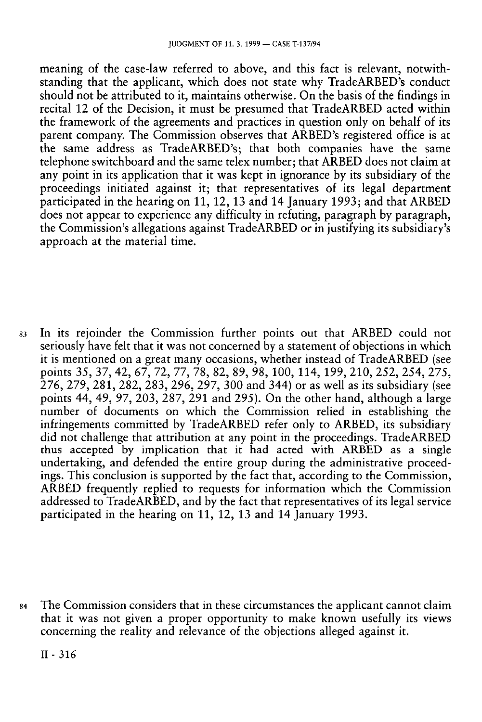meaning of the case-law referred to above, and this fact is relevant, notwithstanding that the applicant, which does not state why TradeARBED's conduct should not be attributed to it, maintains otherwise. On the basis of the findings in recital 12 of the Decision, it must be presumed that TradeARBED acted within the framework of the agreements and practices in question only on behalf of its parent company. The Commission observes that ARBED's registered office is at the same address as TradeARBED's; that both companies have the same telephone switchboard and the same telex number; that ARBED does not claim at any point in its application that it was kept in ignorance by its subsidiary of the proceedings initiated against it; that representatives of its legal department participated in the hearing on 11, 12, 13 and 14 January 1993; and that ARBED does not appear to experience any difficulty in refuting, paragraph by paragraph, the Commission's allegations against TradeARBED or in justifying its subsidiary's approach at the material time.

83 In its rejoinder the Commission further points out that ARBED could not seriously have felt that it was not concerned by a statement of objections in which it is mentioned on a great many occasions, whether instead of TradeARBED (see points 35, 37, 42, 67, 72, 77, 78, 82, 89, 98, 100, 114, 199, 210, 252, 254, 275, 276, 279, 281, 282, 283, 296, 297, 300 and 344) or as well as its subsidiary (see points 44, 49, 97, 203, 287, 291 and 295). On the other hand, although a large number of documents on which the Commission relied in establishing the infringements committed by TradeARBED refer only to ARBED, its subsidiary did not challenge that attribution at any point in the proceedings. TradeARBED thus accepted by implication that it had acted with ARBED as a single undertaking, and defended the entire group during the administrative proceedings. This conclusion is supported by the fact that, according to the Commission, ARBED frequently replied to requests for information which the Commission addressed to TradeARBED, and by the fact that representatives of its legal service participated in the hearing on 11, 12, 13 and 14 January 1993.

84 The Commission considers that in these circumstances the applicant cannot claim that it was not given a proper opportunity to make known usefully its views concerning the reality and relevance of the objections alleged against it.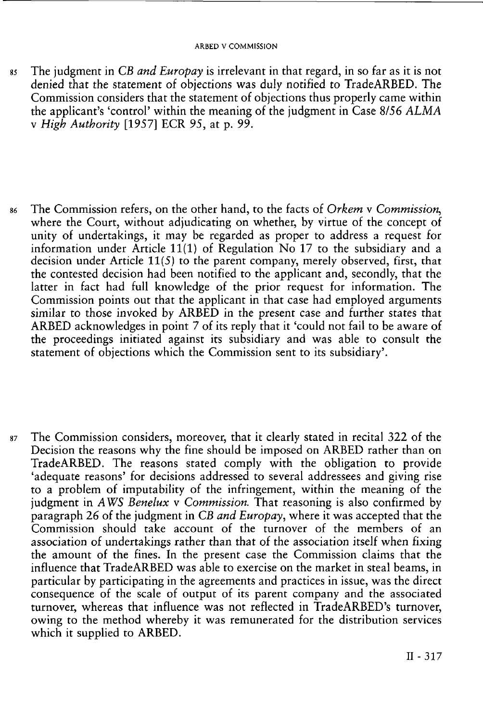- 85 The judgment in *CB and Europay* is irrelevant in that regard, in so far as it is not denied that the statement of objections was duly notified to TradeARBED. The Commission considers that the statement of objections thus properly came within the applicant's 'control' within the meaning of the judgment in Case 8/56 *ALMA*  v *High Authority* [1957] ECR 95, at p. 99.
- 86 The Commission refers, on the other hand, to the facts of *Orkem* v *Commission,*  where the Court, without adjudicating on whether, by virtue of the concept of unity of undertakings, it may be regarded as proper to address a request for information under Article 11(1) of Regulation  $N_0$  17 to the subsidiary and a decision under Article 11(5) to the parent company, merely observed, first, that the contested decision had been notified to the applicant and, secondly, that the latter in fact had full knowledge of the prior request for information. The Commission points out that the applicant in that case had employed arguments similar to those invoked by ARBED in the present case and further states that ARBED acknowledges in point 7 of its reply that it 'could not fail to be aware of the proceedings initiated against its subsidiary and was able to consult the statement of objections which the Commission sent to its subsidiary'.
- 87 The Commission considers, moreover, that it clearly stated in recital 322 of the Decision the reasons why the fine should be imposed on ARBED rather than on TradeARBED. The reasons stated comply with the obligation to provide 'adequate reasons' for decisions addressed to several addressees and giving rise to a problem of imputability of the infringement, within the meaning of the judgment in *AWS Benelux* v *Commission.* That reasoning is also confirmed by paragraph 26 of the judgment in *CB and Europay,* where it was accepted that the Commission should take account of the turnover of the members of an association of undertakings rather than that of the association itself when fixing the amount of the fines. In the present case the Commission claims that the influence that TradeARBED was able to exercise on the market in steal beams, in particular by participating in the agreements and practices in issue, was the direct consequence of the scale of output of its parent company and the associated turnover, whereas that influence was not reflected in TradeARBED's turnover, owing to the method whereby it was remunerated for the distribution services which it supplied to ARBED.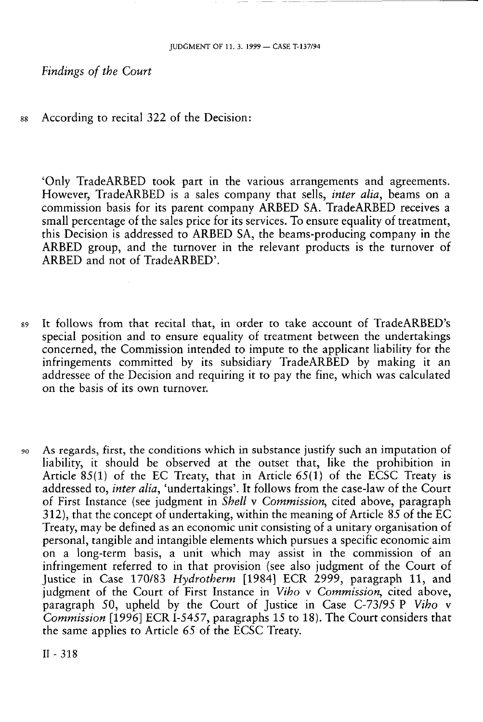*Findings of the Court* 

88 According to recital 322 of the Decision:

'Only TradeARBED took part in the various arrangements and agreements. However, TradeARBED is a sales company that sells, *inter alia*, beams on a commission basis for its parent company ARBED SA. TradeARBED receives a small percentage of the sales price for its services. To ensure equality of treatment, this Decision is addressed to ARBED SA, the beams-producing company in the ARBED group, and the turnover in the relevant products is the turnover of ARBED and not of TradeARBED'.

- 89 It follows from that recital that, in order to take account of TradeARBED's special position and to ensure equality of treatment between the undertakings concerned, the Commission intended to impute to the applicant liability for the infringements committed by its subsidiary TradeARBED by making it an addressee of the Decision and requiring it to pay the fine, which was calculated on the basis of its own turnover.
- 90 As regards, first, the conditions which in substance justify such an imputation of liability, it should be observed at the outset that, like the prohibition in Article 85(1) of the EC Treaty, that in Article 65(1) of the ECSC Treaty is addressed to, *inter alia,* 'undertakings'. It follows from the case-law of the Court of First Instance (see judgment in *Shell* ν *Commission,* cited above, paragraph 312), that the concept of undertaking, within the meaning of Article 85 of the EC Treaty, may be defined as an economic unit consisting of a unitary organisation of personal, tangible and intangible elements which pursues a specific economic aim on a long-term basis, a unit which may assist in the commission of an infringement referred to in that provision (see also judgment of the Court of Justice in Case 170/83 *Hydrotherm* [1984] ECR 2999, paragraph 11, and judgment of the Court of First Instance in *Viho* ν *Commission,* cited above, paragraph 50, upheld by the Court of Justice in Case C-73/95 Ρ *Viho* ν *Commission* [1996] ECR 1-5457, paragraphs 15 to 18). The Court considers that the same applies to Article *65* of the ECSC Treaty.

II-318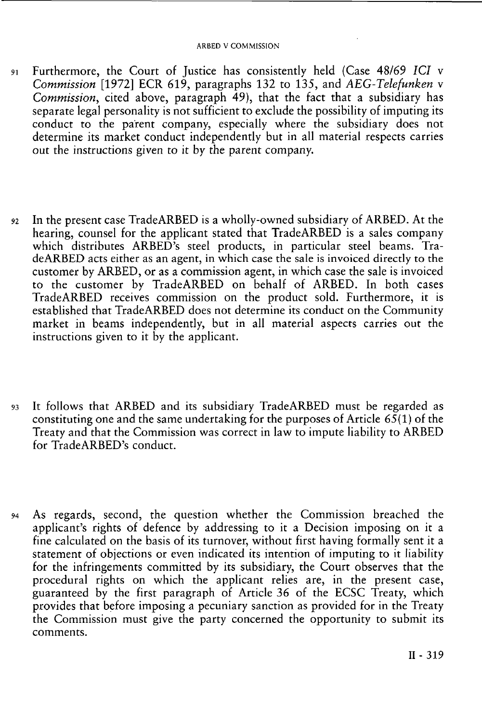- 91 Furthermore, the Court of Justice has consistently held (Case 48/69 *ICI* v *Commission* [1972] ECR 619, paragraphs 132 to 135, and *AEG-Telefunken* v *Commission,* cited above, paragraph 49), that the fact that a subsidiary has separate legal personality is not sufficient to exclude the possibility of imputing its conduct to the parent company, especially where the subsidiary does not determine its market conduct independently but in all material respects carries out the instructions given to it by the parent company.
- 92 In the present case Trade ARBED is a wholly-owned subsidiary of ARBED. At the hearing, counsel for the applicant stated that TradeARBED is a sales company which distributes ARBED's steel products, in particular steel beams. TradeARBED acts either as an agent, in which case the sale is invoiced directly to the customer by ARBED, or as a commission agent, in which case the sale is invoiced to the customer by TradeARBED on behalf of ARBED. In both cases TradeARBED receives commission on the product sold. Furthermore, it is established that TradeARBED does not determine its conduct on the Community market in beams independently, but in all material aspects carries out the instructions given to it by the applicant.
- 93 It follows that ARBED and its subsidiary TradeARBED must be regarded as constituting one and the same undertaking for the purposes of Article  $65(1)$  of the Treaty and that the Commission was correct in law to impute liability to ARBED for TradeARBED's conduct.
- 94 As regards, second, the question whether the Commission breached the applicant's rights of defence by addressing to it a Decision imposing on it a fine calculated on the basis of its turnover, without first having formally sent it a statement of objections or even indicated its intention of imputing to it liability for the infringements committed by its subsidiary, the Court observes that the procedural rights on which the applicant relies are, in the present case, guaranteed by the first paragraph of Article 36 of the ECSC Treaty, which provides that before imposing a pecuniary sanction as provided for in the Treaty the Commission must give the party concerned the opportunity to submit its comments.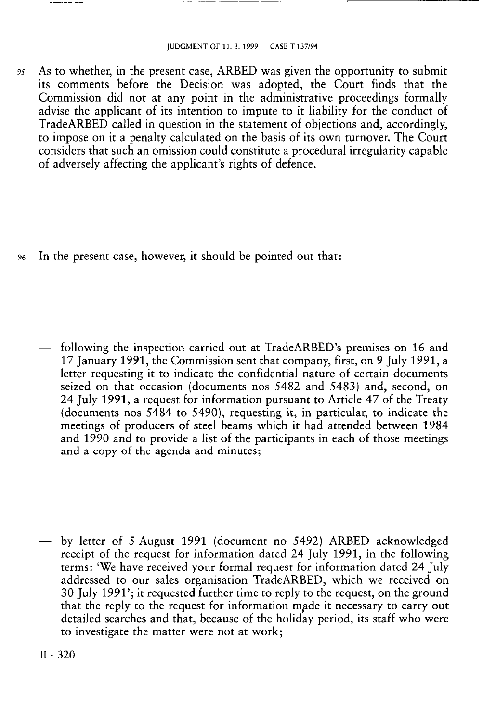95 As to whether, in the present case, ARBED was given the opportunity to submit its comments before the Decision was adopted, the Court finds that the Commission did not at any point in the administrative proceedings formally advise the applicant of its intention to impute to it liability for the conduct of TradeARBED called in question in the statement of objections and, accordingly, to impose on it a penalty calculated on the basis of its own turnover. The Court considers that such an omission could constitute a procedural irregularity capable of adversely affecting the applicant's rights of defence.

96 In the present case, however, it should be pointed out that:

— following the inspection carried out at TradeARBED's premises on 16 and 17 January 1991, the Commission sent that company, first, on 9 July 1991, a letter requesting it to indicate the confidential nature of certain documents seized on that occasion (documents nos 5482 and 5483) and, second, on 24 July 1991, a request for information pursuant to Article 47 of the Treaty (documents nos 5484 to 5490), requesting it, in particular, to indicate the meetings of producers of steel beams which it had attended between 1984 and 1990 and to provide a list of the participants in each of those meetings and a copy of the agenda and minutes;

— by letter of 5 August 1991 (document no 5492) ARBED acknowledged receipt of the request for information dated 24 July 1991, in the following terms: 'We have received your formal request for information dated 24 July addressed to our sales organisation TradeARBED, which we received on 30 July 1991'; it requested further time to reply to the request, on the ground that the reply to the request for information made it necessary to carry out detailed searches and that, because of the holiday period, its staff who were to investigate the matter were not at work;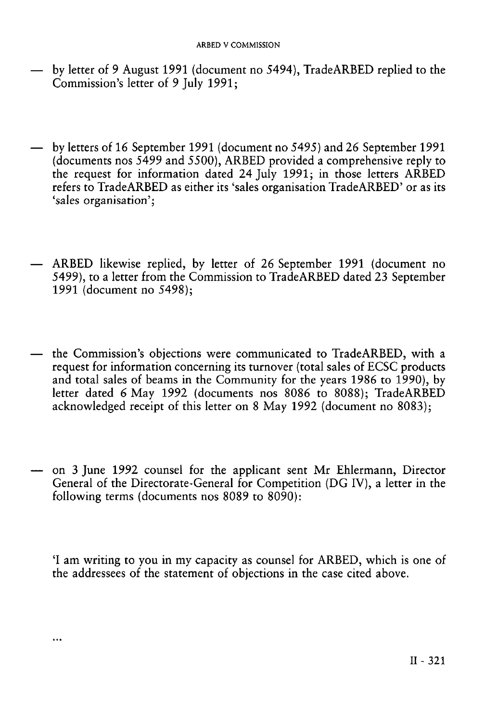- by letter of 9 August 1991 (document no 5494), TradeARBED replied to the Commission's letter of 9 July 1991;
- by letters of 16 September 1991 (document no 5495) and 26 September 1991 (documents nos 5499 and 5500), ARBED provided a comprehensive reply to the request for information dated 24 July 1991; in those letters ARBED refers to TradeARBED as either its 'sales organisation TradeARBED' or as its 'sales organisation';
- ARBED likewise replied, by letter of 26 September 1991 (document no 5499), to a letter from the Commission to TradeARBED dated 23 September 1991 (document no 5498);
- the Commission's objections were communicated to TradeARBED, with a request for information concerning its turnover (total sales of ECSC products and total sales of beams in the Community for the years 1986 to 1990), by letter dated 6 May 1992 (documents nos 8086 to 8088); TradeARBED acknowledged receipt of this letter on 8 May 1992 (document no 8083);
- on 3 June 1992 counsel for the applicant sent Mr Ehlermann, Director General of the Directorate-General for Competition (DG IV), a letter in the following terms (documents nos  $8089$  to  $8090$ ):

'I am writing to you in my capacity as counsel for ARBED, which is one of the addressees of the statement of objections in the case cited above.

 $\ddotsc$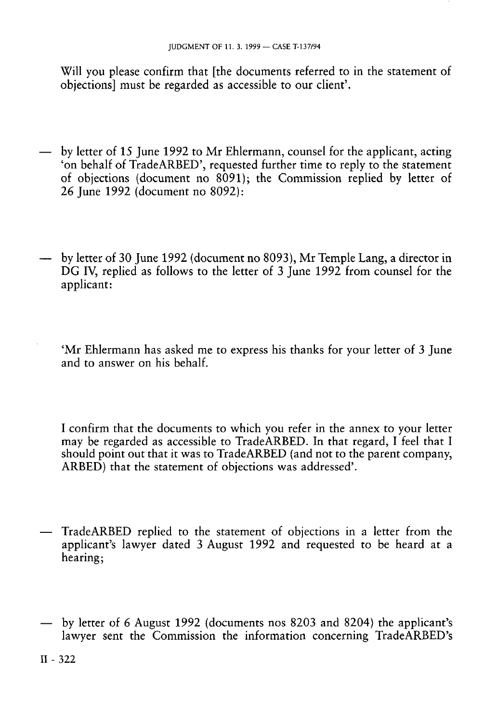Will you please confirm that [the documents referred to in the statement of objections] must be regarded as accessible to our client'.

- by letter of 15 June 1992 to Mr Ehlermann, counsel for the applicant, acting 'on behalf of TradeARBED', requested further time to reply to the statement of objections (document no 8091); the Commission replied by letter of 26 June 1992 (document no 8092):
- by letter of 30 June 1992 (document no 8093), Mr Temple Lang, a director in DG IV, replied as follows to the letter of 3 June 1992 from counsel for the applicant:
	- 'Mr Ehlermann has asked me to express his thanks for your letter of 3 June and to answer on his behalf.

I confirm that the documents to which you refer in the annex to your letter may be regarded as accessible to TradeARBED. In that regard, I feel that I should point out that it was to TradeARBED (and not to the parent company, ARBED) that the statement of objections was addressed'.

- TradeARBED replied to the statement of objections in a letter from the applicant's lawyer dated 3 August 1992 and requested to be heard at a hearing;
- by letter of 6 August 1992 (documents nos 8203 and 8204) the applicant's lawyer sent the Commission the information concerning TradeARBED's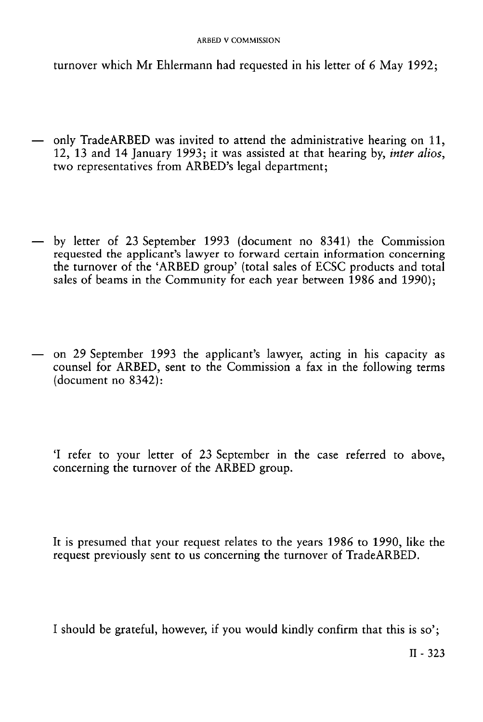turnover which Mr Ehlermann had requested in his letter of 6 May 1992;

- only Trade ARBED was invited to attend the administrative hearing on 11, 12, 13 and 14 January 1993; it was assisted at that hearing by, *inter alios,*  two representatives from ARBED's legal department;
- by letter of 23 September 1993 (document no 8341) the Commission requested the applicant's lawyer to forward certain information concerning the turnover of the 'ARBED group' (total sales of ECSC products and total sales of beams in the Community for each year between 1986 and 1990);
- on 29 September 1993 the applicant's lawyer, acting in his capacity as counsel for ARBED, sent to the Commission a fax in the following terms (document no 8342):

'I refer to your letter of 23 September in the case referred to above, concerning the turnover of the ARBED group.

It is presumed that your request relates to the years 1986 to 1990, like the request previously sent to us concerning the turnover of TradeARBED.

I should be grateful, however, if you would kindly confirm that this is so';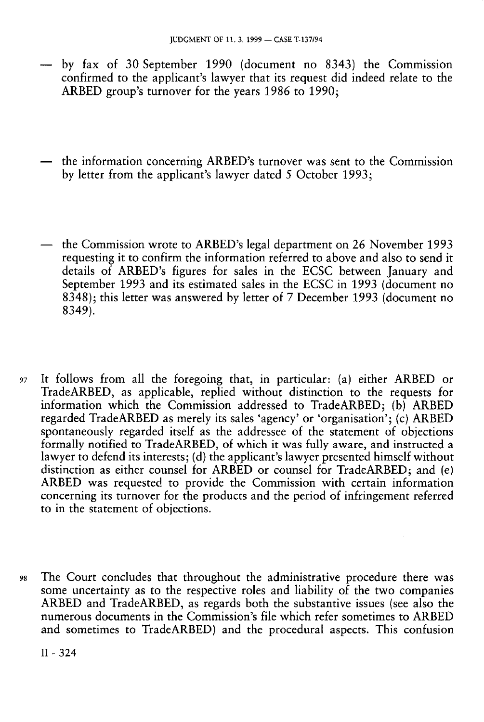- by fax of 30 September 1990 (document no 8343) the Commission confirmed to the applicant's lawyer that its request did indeed relate to the ARBED group's turnover for the years 1986 to 1990;
- the information concerning ARBED's turnover was sent to the Commission by letter from the applicant's lawyer dated 5 October 1993;
- the Commission wrote to ARBED's legal department on 26 November 1993 requesting it to confirm the information referred to above and also to send it details of ARBED's figures for sales in the ECSC between January and September 1993 and its estimated sales in the ECSC in 1993 (document no 8348); this letter was answered by letter of 7 December 1993 (document no 8349).
- 97 It follows from all the foregoing that, in particular: (a) either ARBED or TradeARBED, as applicable, replied without distinction to the requests for information which the Commission addressed to TradeARBED; (b) ARBED regarded TradeARBED as merely its sales 'agency' or 'organisation'; (c) ARBED spontaneously regarded itself as the addressee of the statement of objections formally notified to TradeARBED, of which it was fully aware, and instructed a lawyer to defend its interests; (d) the applicant's lawyer presented himself without distinction as either counsel for ARBED or counsel for TradeARBED; and (e) ARBED was requested to provide the Commission with certain information concerning its turnover for the products and the period of infringement referred to in the statement of objections.
- 98 The Court concludes that throughout the administrative procedure there was some uncertainty as to the respective roles and liability of the two companies ARBED and TradeARBED, as regards both the substantive issues (see also the numerous documents in the Commission's file which refer sometimes to ARBED and sometimes to TradeARBED) and the procedural aspects. This confusion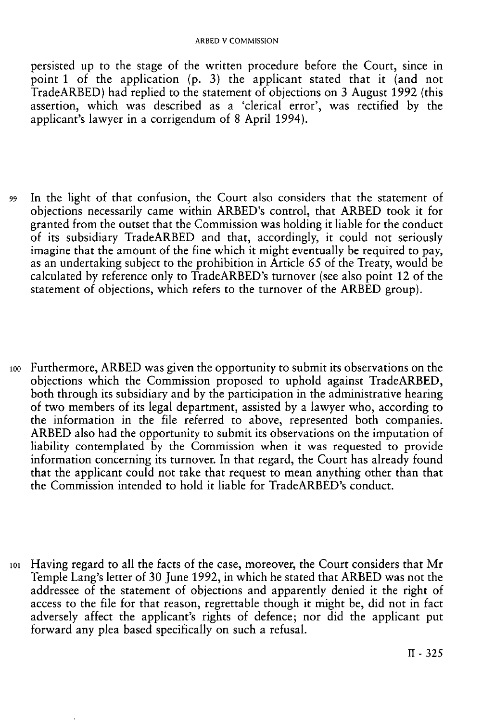persisted up to the stage of the written procedure before the Court, since in point 1 of the application (p. 3) the applicant stated that it (and not TradeARBED) had replied to the statement of objections on 3 August 1992 (this assertion, which was described as a 'clerical<sup>'</sup> error', was rectified by the applicant's lawyer in a corrigendum of 8 April 1994).

- 99 In the light of that confusion, the Court also considers that the statement of objections necessarily came within ARBED's control, that ARBED took it for granted from the outset that the Commission was holding it liable for the conduct of its subsidiary TradeARBED and that, accordingly, it could not seriously imagine that the amount of the fine which it might eventually be required to pay, as an undertaking subject to the prohibition in Article *65* of the Treaty, would be calculated by reference only to TradeARBED's turnover (see also point 12 of the statement of objections, which refers to the turnover of the ARBED group).
- 100 Furthermore, ARBED was given the opportunity to submit its observations on the objections which the Commission proposed to uphold against TradeARBED, both through its subsidiary and by the participation in the administrative hearing of two members of its legal department, assisted by a lawyer who, according to the information in the file referred to above, represented both companies. ARBED also had the opportunity to submit its observations on the imputation of liability contemplated by the Commission when it was requested to provide information concerning its turnover. In that regard, the Court has already found that the applicant could not take that request to mean anything other than that the Commission intended to hold it liable for TradeARBED's conduct.
- 101 Having regard to all the facts of the case, moreover, the Court considers that Mr Temple Lang's letter of 30 June 1992, in which he stated that ARBED was not the addressee of the statement of objections and apparently denied it the right of access to the file for that reason, regrettable though it might be, did not in fact adversely affect the applicant's rights of defence; nor did the applicant put forward any plea based specifically on such a refusal.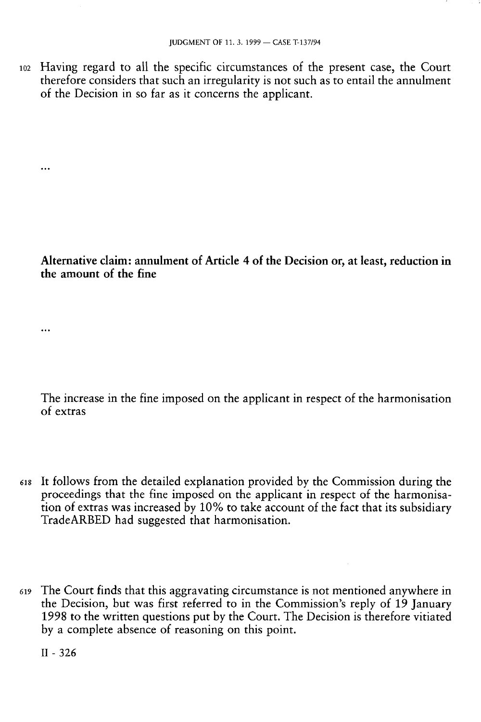**102** Having regard to all the specific circumstances of the present case, the Court therefore considers that such an irregularity is not such as to entail the annulment of the Decision in so far as it concerns the applicant.

 $\ddotsc$ 

 $\ddotsc$ 

### **Alternative claim: annulment of Article 4 of the Decision or, at least, reduction in the amount of the fine**

The increase in the fine imposed on the applicant in respect of the harmonisation of extras

- 618 It follows from the detailed explanation provided by the Commission during the proceedings that the fine imposed on the applicant in respect of the harmonisation of extras was increased by 10% to take account of the fact that its subsidiary TradeARBED had suggested that harmonisation.
- **<sup>619</sup>** The Court finds that this aggravating circumstance is not mentioned anywhere in the Decision, but was first referred to in the Commission's reply of 19 January 1998 to the written questions put by the Court. The Decision is therefore vitiated by a complete absence of reasoning on this point.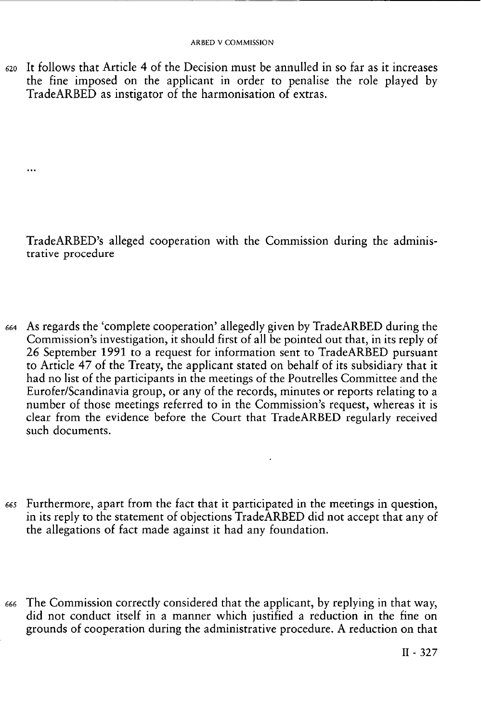$620$  It follows that Article 4 of the Decision must be annulled in so far as it increases the fine imposed on the applicant in order to penalise the role played by TradeARBED as instigator of the harmonisation of extras.

 $\ddotsc$ 

TradeARBED's alleged cooperation with the Commission during the administrative procedure

- 664 As regards the 'complete cooperation' allegedly given by TradeARBED during the Commission's investigation, it should first of all be pointed out that, in its reply of 26 September 1991 to a request for information sent to TradeARBED pursuant to Article 47 of the Treaty, the applicant stated on behalf of its subsidiary that it had no list of the participants in the meetings of the Poutrelles Committee and the Eurofer/Scandinavia group, or any of the records, minutes or reports relating to a number of those meetings referred to in the Commission's request, whereas it is clear from the evidence before the Court that TradeARBED regularly received such documents.
- 665 Furthermore, apart from the fact that it participated in the meetings in question, in its reply to the statement of objections TradeARBED did not accept that any of the allegations of fact made against it had any foundation.
- *<sup>666</sup>* The Commission correctly considered that the applicant, by replying in that way, did not conduct itself in a manner which justified a reduction in the fine on grounds of cooperation during the administrative procedure. A reduction on that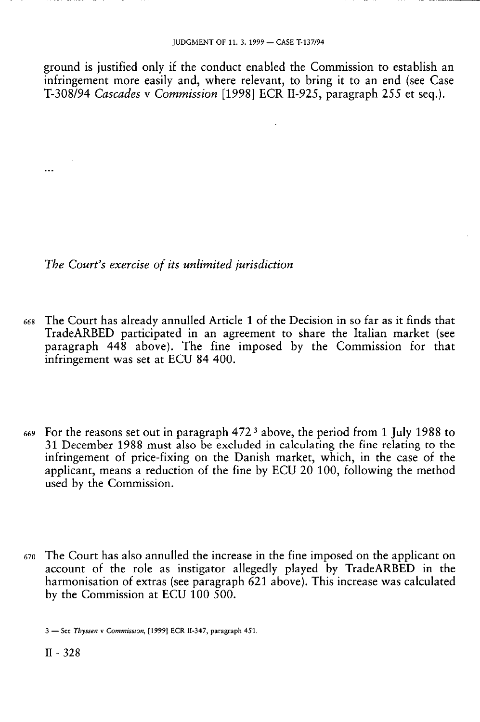ground is justified only if the conduct enabled the Commission to establish an infringement more easily and, where relevant, to bring it to an end (see Case T-308/94 *Cascades* ν *Commission* [1998] ECR 11-925, paragraph 255 et seq.).

*The Court's exercise of its unlimited jurisdiction* 

- 668 The Court has already annulled Article 1 of the Decision in so far as it finds that TradeARBED participated in an agreement to share the Italian market (see paragraph 448 above). The fine imposed by the Commission for that infringement was set at ECU 84 400.
- 669 For the reasons set out in paragraph 472<sup>3</sup> above, the period from 1 July 1988 to 31 December 1988 must also be excluded in calculating the fine relating to the infringement of price-fixing on the Danish market, which, in the case of the applicant, means a reduction of the fine by ECU 20 100, following the method used by the Commission.
- 670 The Court has also annulled the increase in the fine imposed on the applicant on account of the role as instigator allegedly played by TradeARBED in the harmonisation of extras (see paragraph 621 above). This increase was calculated by the Commission at ECU 100 500.

3 — See *Thyssen* ν *Commission,* [1999] ECR II-347, paragraph 451.

 $\cdots$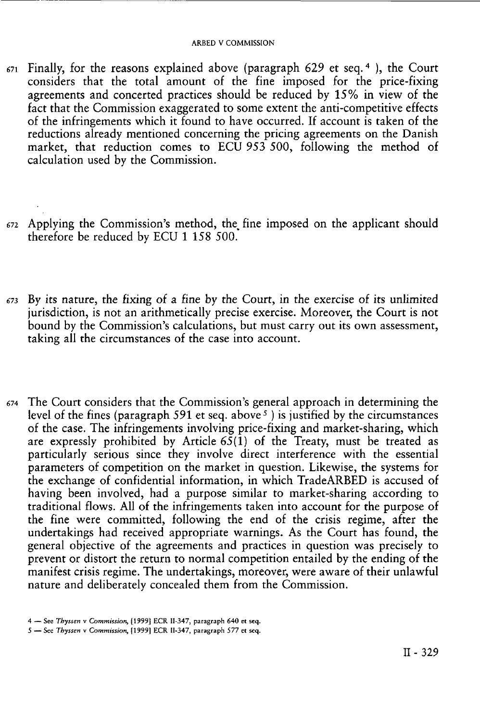- 671 Finally, for the reasons explained above (paragraph 629 et seq. <sup>4</sup> ), the Court considers that the total amount of the fine imposed for the price-fixing agreements and concerted practices should be reduced by 15% in view of the fact that the Commission exaggerated to some extent the anti-competitive effects of the infringements which it found to have occurred. If account is taken of the reductions already mentioned concerning the pricing agreements on the Danish market, that reduction comes to ECU 953 500, following the method of calculation used by the Commission.
- 672 Applying the Commission's method, the fine imposed on the applicant should therefore be reduced by ECU 1 158 500.
- 673 By its nature, the fixing of a fine by the Court, in the exercise of its unlimited jurisdiction, is not an arithmetically precise exercise. Moreover, the Court is not bound by the Commission's calculations, but must carry out its own assessment, taking all the circumstances of the case into account.
- 674 The Court considers that the Commission's general approach in determining the level of the fines (paragraph 591 et seq. above <sup>5</sup> ) is justified by the circumstances of the case. The infringements involving price-fixing and market-sharing, which are expressly prohibited by Article  $65(1)$  of the Treaty, must be treated as particularly serious since they involve direct interference with the essential parameters of competition on the market in question. Likewise, the systems for the exchange of confidential information, in which TradeARBED is accused of having been involved, had a purpose similar to market-sharing according to traditional flows. All of the infringements taken into account for the purpose of the fine were committed, following the end of the crisis regime, after the undertakings had received appropriate warnings. As the Court has found, the general objective of the agreements and practices in question was precisely to prevent or distort the return to normal competition entailed by the ending of the manifest crisis regime. The undertakings, moreover, were aware of their unlawful nature and deliberately concealed them from the Commission.

<sup>4 —</sup> See *Thyssen* v *Commission,* [1999] ECR II-347, paragraph 640 et seq.

<sup>5 —</sup> See *Thyssen* v *Commission,* [1999] ECR II-347, paragraph 577 et seq.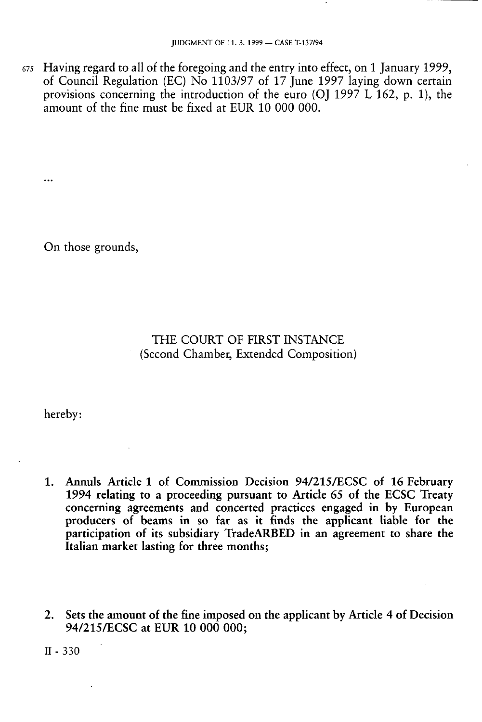**675** Having regard to all of the foregoing and the entry into effect, on 1 January 1999, of Council Regulation (EC) No 1103/97 of 17 June 1997 laying down certain provisions concerning the introduction of the euro (OJ 1997 L 162, p. 1), the amount of the fine must be fixed at EUR 10 000 000.

On those grounds,

...

### THE COURT OF FIRST INSTANCE (Second Chamber, Extended Composition)

hereby:

- **1. Annuls Article 1 of Commission Decision 94/215/ECSC of 16 February 1994 relating to a proceeding pursuant to Article 65 of the ECSC Treaty concerning agreements and concerted practices engaged in by European producers of beams in so far as it finds the applicant liable for the participation of its subsidiary TradeARBED in an agreement to share the Italian market lasting for three months;**
- **2. Sets the amount of the fine imposed on the applicant by Article 4 of Decision 94/215/ECSC at EUR 10 000 000;**